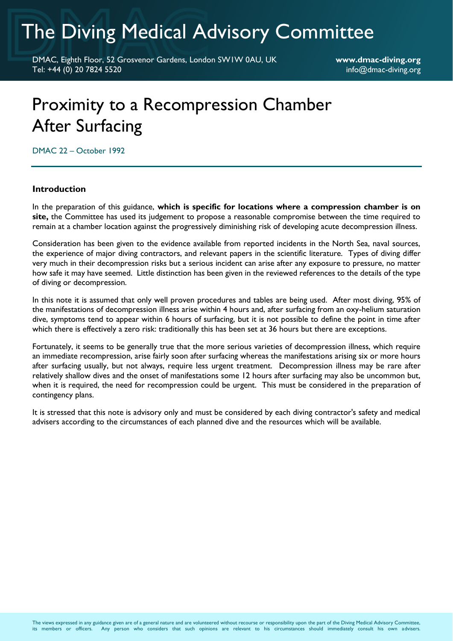## The Diving Medical Advisory Committee

DMAC, Eighth Floor, 52 Grosvenor Gardens, London SW1W 0AU, UK **www.dmac-diving.org** Tel: +44 (0) 20 7824 5520 info@dmac-diving.org

## Proximity to a Recompression Chamber After Surfacing

DMAC 22 – October 1992

## **Introduction**

In the preparation of this guidance, **which is specific for locations where a compression chamber is on site,** the Committee has used its judgement to propose a reasonable compromise between the time required to remain at a chamber location against the progressively diminishing risk of developing acute decompression illness.

Consideration has been given to the evidence available from reported incidents in the North Sea, naval sources, the experience of major diving contractors, and relevant papers in the scientific literature. Types of diving differ very much in their decompression risks but a serious incident can arise after any exposure to pressure, no matter how safe it may have seemed. Little distinction has been given in the reviewed references to the details of the type of diving or decompression.

In this note it is assumed that only well proven procedures and tables are being used. After most diving, 95% of the manifestations of decompression illness arise within 4 hours and, after surfacing from an oxy-helium saturation dive, symptoms tend to appear within 6 hours of surfacing, but it is not possible to define the point in time after which there is effectively a zero risk: traditionally this has been set at 36 hours but there are exceptions.

Fortunately, it seems to be generally true that the more serious varieties of decompression illness, which require an immediate recompression, arise fairly soon after surfacing whereas the manifestations arising six or more hours after surfacing usually, but not always, require less urgent treatment. Decompression illness may be rare after relatively shallow dives and the onset of manifestations some 12 hours after surfacing may also be uncommon but, when it is required, the need for recompression could be urgent. This must be considered in the preparation of contingency plans.

It is stressed that this note is advisory only and must be considered by each diving contractor's safety and medical advisers according to the circumstances of each planned dive and the resources which will be available.